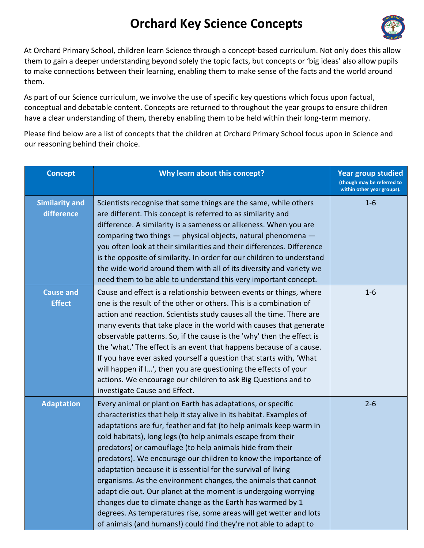## **Orchard Key Science Concepts**



At Orchard Primary School, children learn Science through a concept-based curriculum. Not only does this allow them to gain a deeper understanding beyond solely the topic facts, but concepts or 'big ideas' also allow pupils to make connections between their learning, enabling them to make sense of the facts and the world around them.

As part of our Science curriculum, we involve the use of specific key questions which focus upon factual, conceptual and debatable content. Concepts are returned to throughout the year groups to ensure children have a clear understanding of them, thereby enabling them to be held within their long-term memory.

Please find below are a list of concepts that the children at Orchard Primary School focus upon in Science and our reasoning behind their choice.

| <b>Concept</b>                      | Why learn about this concept?                                                                                                                                                                                                                                                                                                                                                                                                                                                                                                                                                                                                                                                                                                                                                                                         | <b>Year group studied</b><br>(though may be referred to<br>within other year groups). |
|-------------------------------------|-----------------------------------------------------------------------------------------------------------------------------------------------------------------------------------------------------------------------------------------------------------------------------------------------------------------------------------------------------------------------------------------------------------------------------------------------------------------------------------------------------------------------------------------------------------------------------------------------------------------------------------------------------------------------------------------------------------------------------------------------------------------------------------------------------------------------|---------------------------------------------------------------------------------------|
| <b>Similarity and</b><br>difference | Scientists recognise that some things are the same, while others<br>are different. This concept is referred to as similarity and<br>difference. A similarity is a sameness or alikeness. When you are<br>comparing two things - physical objects, natural phenomena -<br>you often look at their similarities and their differences. Difference<br>is the opposite of similarity. In order for our children to understand<br>the wide world around them with all of its diversity and variety we<br>need them to be able to understand this very important concept.                                                                                                                                                                                                                                                   | $1-6$                                                                                 |
| <b>Cause and</b><br><b>Effect</b>   | Cause and effect is a relationship between events or things, where<br>one is the result of the other or others. This is a combination of<br>action and reaction. Scientists study causes all the time. There are<br>many events that take place in the world with causes that generate<br>observable patterns. So, if the cause is the 'why' then the effect is<br>the 'what.' The effect is an event that happens because of a cause.<br>If you have ever asked yourself a question that starts with, 'What<br>will happen if I', then you are questioning the effects of your<br>actions. We encourage our children to ask Big Questions and to<br>investigate Cause and Effect.                                                                                                                                    | $1 - 6$                                                                               |
| <b>Adaptation</b>                   | Every animal or plant on Earth has adaptations, or specific<br>characteristics that help it stay alive in its habitat. Examples of<br>adaptations are fur, feather and fat (to help animals keep warm in<br>cold habitats), long legs (to help animals escape from their<br>predators) or camouflage (to help animals hide from their<br>predators). We encourage our children to know the importance of<br>adaptation because it is essential for the survival of living<br>organisms. As the environment changes, the animals that cannot<br>adapt die out. Our planet at the moment is undergoing worrying<br>changes due to climate change as the Earth has warmed by 1<br>degrees. As temperatures rise, some areas will get wetter and lots<br>of animals (and humans!) could find they're not able to adapt to | $2 - 6$                                                                               |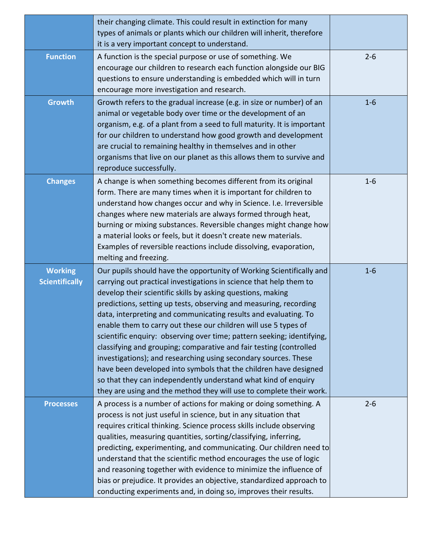|                                         | their changing climate. This could result in extinction for many<br>types of animals or plants which our children will inherit, therefore<br>it is a very important concept to understand.                                                                                                                                                                                                                                                                                                                                                                                                                                                                                                                                                                                                                                                           |         |
|-----------------------------------------|------------------------------------------------------------------------------------------------------------------------------------------------------------------------------------------------------------------------------------------------------------------------------------------------------------------------------------------------------------------------------------------------------------------------------------------------------------------------------------------------------------------------------------------------------------------------------------------------------------------------------------------------------------------------------------------------------------------------------------------------------------------------------------------------------------------------------------------------------|---------|
| <b>Function</b>                         | A function is the special purpose or use of something. We<br>encourage our children to research each function alongside our BIG<br>questions to ensure understanding is embedded which will in turn<br>encourage more investigation and research.                                                                                                                                                                                                                                                                                                                                                                                                                                                                                                                                                                                                    | $2 - 6$ |
| <b>Growth</b>                           | Growth refers to the gradual increase (e.g. in size or number) of an<br>animal or vegetable body over time or the development of an<br>organism, e.g. of a plant from a seed to full maturity. It is important<br>for our children to understand how good growth and development<br>are crucial to remaining healthy in themselves and in other<br>organisms that live on our planet as this allows them to survive and<br>reproduce successfully.                                                                                                                                                                                                                                                                                                                                                                                                   | $1 - 6$ |
| <b>Changes</b>                          | A change is when something becomes different from its original<br>form. There are many times when it is important for children to<br>understand how changes occur and why in Science. I.e. Irreversible<br>changes where new materials are always formed through heat,<br>burning or mixing substances. Reversible changes might change how<br>a material looks or feels, but it doesn't create new materials.<br>Examples of reversible reactions include dissolving, evaporation,<br>melting and freezing.                                                                                                                                                                                                                                                                                                                                         | $1 - 6$ |
| <b>Working</b><br><b>Scientifically</b> | Our pupils should have the opportunity of Working Scientifically and<br>carrying out practical investigations in science that help them to<br>develop their scientific skills by asking questions, making<br>predictions, setting up tests, observing and measuring, recording<br>data, interpreting and communicating results and evaluating. To<br>enable them to carry out these our children will use 5 types of<br>scientific enquiry: observing over time; pattern seeking; identifying,<br>classifying and grouping; comparative and fair testing (controlled<br>investigations); and researching using secondary sources. These<br>have been developed into symbols that the children have designed<br>so that they can independently understand what kind of enquiry<br>they are using and the method they will use to complete their work. | $1 - 6$ |
| <b>Processes</b>                        | A process is a number of actions for making or doing something. A<br>process is not just useful in science, but in any situation that<br>requires critical thinking. Science process skills include observing<br>qualities, measuring quantities, sorting/classifying, inferring,<br>predicting, experimenting, and communicating. Our children need to<br>understand that the scientific method encourages the use of logic<br>and reasoning together with evidence to minimize the influence of<br>bias or prejudice. It provides an objective, standardized approach to<br>conducting experiments and, in doing so, improves their results.                                                                                                                                                                                                       | $2 - 6$ |